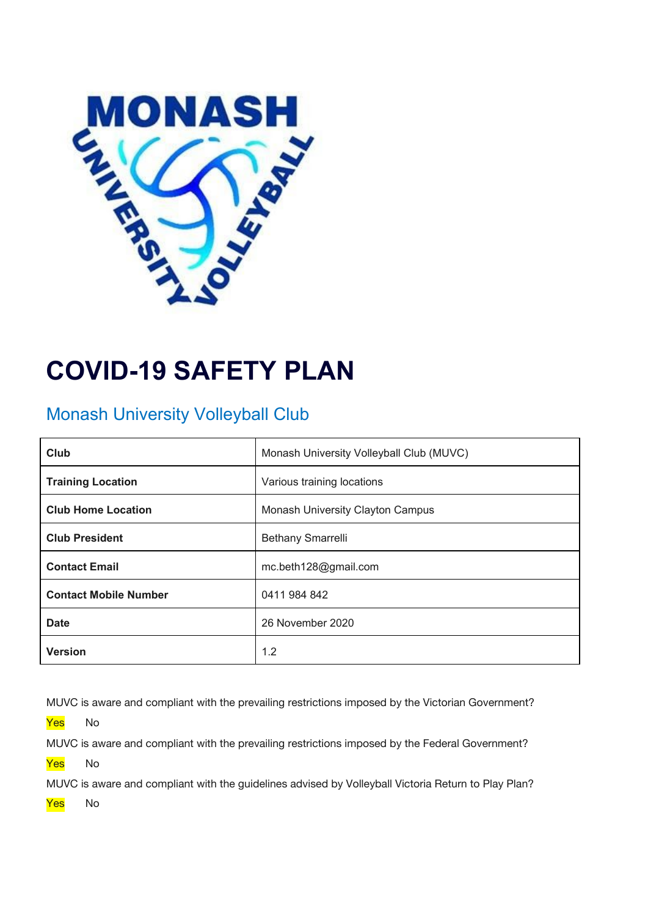

# **COVID-19 SAFETY PLAN**

## Monash University Volleyball Club

| Club                         | Monash University Volleyball Club (MUVC) |
|------------------------------|------------------------------------------|
| <b>Training Location</b>     | Various training locations               |
| <b>Club Home Location</b>    | Monash University Clayton Campus         |
| <b>Club President</b>        | <b>Bethany Smarrelli</b>                 |
| <b>Contact Email</b>         | mc.beth128@gmail.com                     |
| <b>Contact Mobile Number</b> | 0411 984 842                             |
| <b>Date</b>                  | 26 November 2020                         |
| <b>Version</b>               | 1.2                                      |

MUVC is aware and compliant with the prevailing restrictions imposed by the Victorian Government?

<mark>Yes</mark> No

MUVC is aware and compliant with the prevailing restrictions imposed by the Federal Government?

<mark>Yes</mark> No

MUVC is aware and compliant with the guidelines advised by Volleyball Victoria Return to Play Plan?

Yes No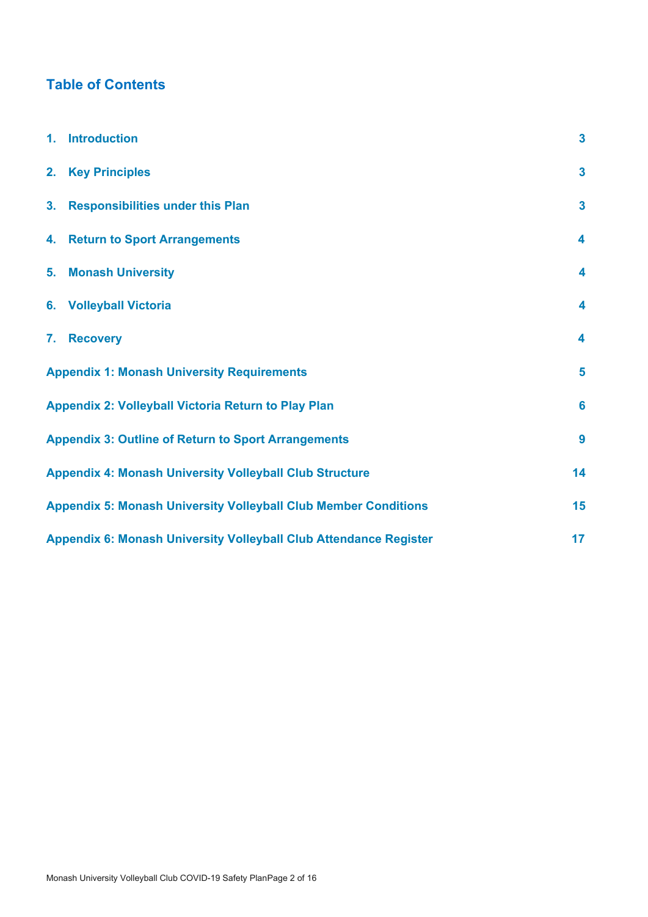## **Table of Contents**

| 1. Introduction                                                        | $\overline{\mathbf{3}}$ |
|------------------------------------------------------------------------|-------------------------|
| 2. Key Principles                                                      | $\overline{\mathbf{3}}$ |
| 3. Responsibilities under this Plan                                    | $\overline{\mathbf{3}}$ |
| 4. Return to Sport Arrangements                                        | 4                       |
| 5. Monash University                                                   | 4                       |
| 6. Volleyball Victoria                                                 | 4                       |
| 7. Recovery                                                            | 4                       |
| <b>Appendix 1: Monash University Requirements</b>                      | 5                       |
| Appendix 2: Volleyball Victoria Return to Play Plan                    | $6\phantom{a}$          |
| <b>Appendix 3: Outline of Return to Sport Arrangements</b>             | 9                       |
| <b>Appendix 4: Monash University Volleyball Club Structure</b>         | 14                      |
| <b>Appendix 5: Monash University Volleyball Club Member Conditions</b> | 15                      |
| Appendix 6: Monash University Volleyball Club Attendance Register      | 17                      |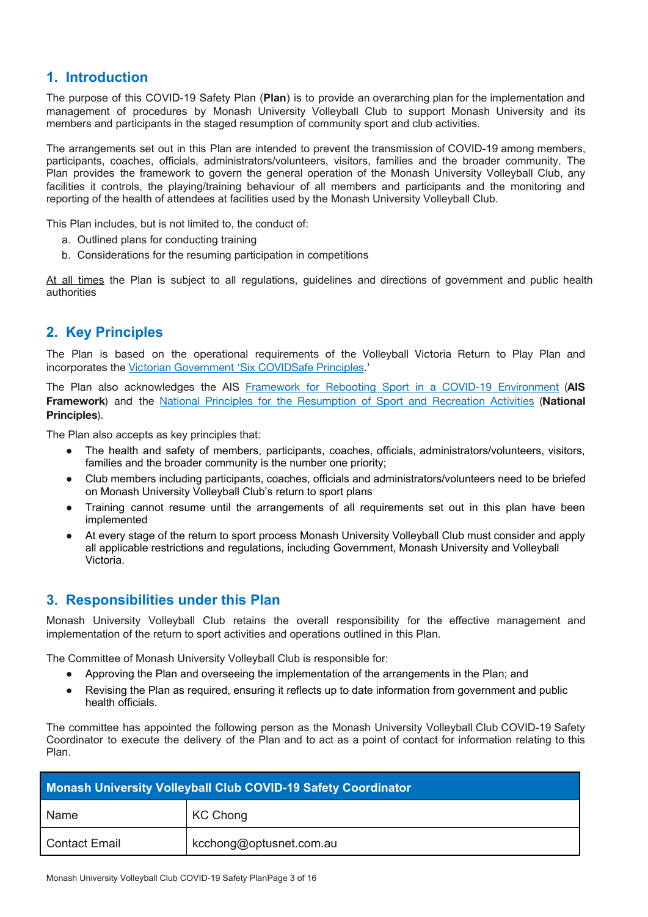## <span id="page-2-0"></span>**1. Introduction**

The purpose of this COVID-19 Safety Plan (**Plan**) is to provide an overarching plan for the implementation and management of procedures by Monash University Volleyball Club to support Monash University and its members and participants in the staged resumption of community sport and club activities.

The arrangements set out in this Plan are intended to prevent the transmission of COVID-19 among members, participants, coaches, officials, administrators/volunteers, visitors, families and the broader community. The Plan provides the framework to govern the general operation of the Monash University Volleyball Club, any facilities it controls, the playing/training behaviour of all members and participants and the monitoring and reporting of the health of attendees at facilities used by the Monash University Volleyball Club.

This Plan includes, but is not limited to, the conduct of:

- a. Outlined plans for conducting training
- b. Considerations for the resuming participation in competitions

At all times the Plan is subject to all regulations, guidelines and directions of government and public health authorities

### <span id="page-2-1"></span>**2. Key Principles**

The Plan is based on the operational requirements of the Volleyball Victoria Return to Play Plan and incorporates the Victorian [Government](https://www.coronavirus.vic.gov.au/six-principles-covidsafe-workplaces#six-principles-of-covidsafe-workplaces) 'Six COVIDSafe Principles.'

The Plan also acknowledges the AIS Framework for Rebooting Sport in a COVID-19 [Environment](https://ais.gov.au/__data/assets/pdf_file/0006/730374/35845_AIS-Framework-for-Rebooting-Sport-Summary.pdf) (**AIS Framework**) and the National Principles for the [Resumption](https://www.health.gov.au/sites/default/files/documents/2020/05/australian-institute-of-sport-ais-framework-for-rebooting-sport-in-a-covid-19-environment.pdf) of Sport and Recreation Activities (**National Principles**).

The Plan also accepts as key principles that:

- The health and safety of members, participants, coaches, officials, administrators/volunteers, visitors, families and the broader community is the number one priority;
- Club members including participants, coaches, officials and administrators/volunteers need to be briefed on Monash University Volleyball Club's return to sport plans
- Training cannot resume until the arrangements of all requirements set out in this plan have been implemented
- At every stage of the return to sport process Monash University Volleyball Club must consider and apply all applicable restrictions and regulations, including Government, Monash University and Volleyball Victoria.

#### <span id="page-2-2"></span>**3. Responsibilities under this Plan**

Monash University Volleyball Club retains the overall responsibility for the effective management and implementation of the return to sport activities and operations outlined in this Plan.

The Committee of Monash University Volleyball Club is responsible for:

- Approving the Plan and overseeing the implementation of the arrangements in the Plan; and
- Revising the Plan as required, ensuring it reflects up to date information from government and public health officials.

The committee has appointed the following person as the Monash University Volleyball Club COVID-19 Safety Coordinator to execute the delivery of the Plan and to act as a point of contact for information relating to this Plan.

|                      | <b>Monash University Volleyball Club COVID-19 Safety Coordinator</b> |
|----------------------|----------------------------------------------------------------------|
| Name                 | KC Chong                                                             |
| <b>Contact Email</b> | kcchong@optusnet.com.au                                              |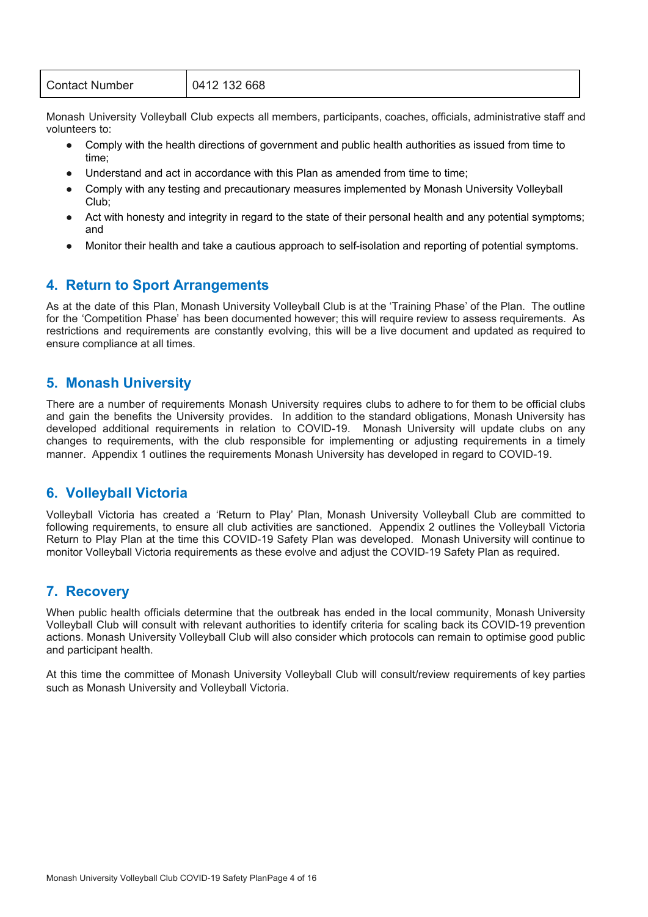| <b>Contact Number</b> | 0412 132 668 |
|-----------------------|--------------|
|                       |              |

Monash University Volleyball Club expects all members, participants, coaches, officials, administrative staff and volunteers to:

- Comply with the health directions of government and public health authorities as issued from time to time;
- Understand and act in accordance with this Plan as amended from time to time;
- Comply with any testing and precautionary measures implemented by Monash University Volleyball Club;
- Act with honesty and integrity in regard to the state of their personal health and any potential symptoms; and
- Monitor their health and take a cautious approach to self-isolation and reporting of potential symptoms.

### <span id="page-3-0"></span>**4. Return to Sport Arrangements**

As at the date of this Plan, Monash University Volleyball Club is at the 'Training Phase' of the Plan. The outline for the 'Competition Phase' has been documented however; this will require review to assess requirements. As restrictions and requirements are constantly evolving, this will be a live document and updated as required to ensure compliance at all times.

#### <span id="page-3-1"></span>**5. Monash University**

There are a number of requirements Monash University requires clubs to adhere to for them to be official clubs and gain the benefits the University provides. In addition to the standard obligations, Monash University has developed additional requirements in relation to COVID-19. Monash University will update clubs on any changes to requirements, with the club responsible for implementing or adjusting requirements in a timely manner. Appendix 1 outlines the requirements Monash University has developed in regard to COVID-19.

### <span id="page-3-2"></span>**6. Volleyball Victoria**

Volleyball Victoria has created a 'Return to Play' Plan, Monash University Volleyball Club are committed to following requirements, to ensure all club activities are sanctioned. Appendix 2 outlines the Volleyball Victoria Return to Play Plan at the time this COVID-19 Safety Plan was developed. Monash University will continue to monitor Volleyball Victoria requirements as these evolve and adjust the COVID-19 Safety Plan as required.

#### <span id="page-3-3"></span>**7. Recovery**

When public health officials determine that the outbreak has ended in the local community, Monash University Volleyball Club will consult with relevant authorities to identify criteria for scaling back its COVID-19 prevention actions. Monash University Volleyball Club will also consider which protocols can remain to optimise good public and participant health.

At this time the committee of Monash University Volleyball Club will consult/review requirements of key parties such as Monash University and Volleyball Victoria.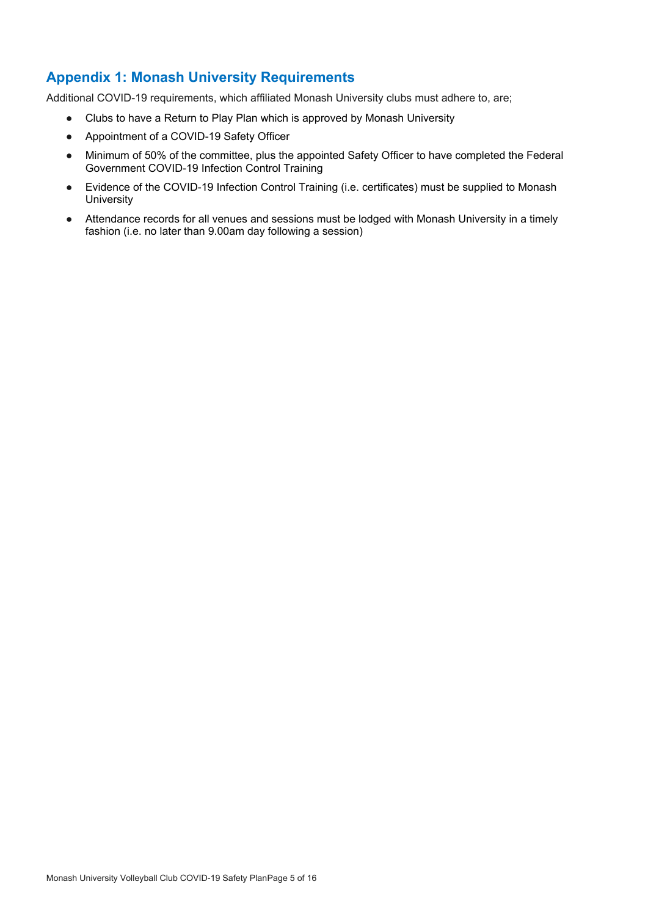## <span id="page-4-0"></span>**Appendix 1: Monash University Requirements**

Additional COVID-19 requirements, which affiliated Monash University clubs must adhere to, are;

- Clubs to have a Return to Play Plan which is approved by Monash University
- Appointment of a COVID-19 Safety Officer
- Minimum of 50% of the committee, plus the appointed Safety Officer to have completed the Federal Government COVID-19 Infection Control Training
- Evidence of the COVID-19 Infection Control Training (i.e. certificates) must be supplied to Monash **University**
- Attendance records for all venues and sessions must be lodged with Monash University in a timely fashion (i.e. no later than 9.00am day following a session)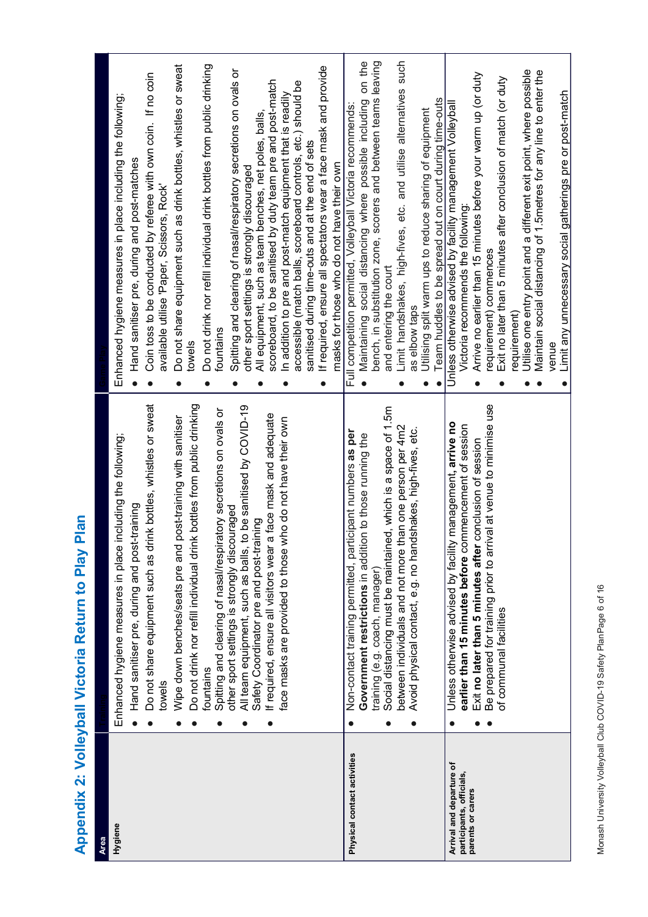Appendix 2: Volleyball Victoria Return to Play Plan **Appendix 2: Volleyball Victoria Return to Play Plan**

<span id="page-5-0"></span>

| <b>Area</b>                                                               |                                                                                                                                                                                                                                                                                                                                                                                                                                                                                                                                                                                                                                                                                                                        |                                                                                                                                                                                                                                                                                                                                                                                                                                                                                                                                                                                                                                                                                                                                                                                                                                                                                                                                                |
|---------------------------------------------------------------------------|------------------------------------------------------------------------------------------------------------------------------------------------------------------------------------------------------------------------------------------------------------------------------------------------------------------------------------------------------------------------------------------------------------------------------------------------------------------------------------------------------------------------------------------------------------------------------------------------------------------------------------------------------------------------------------------------------------------------|------------------------------------------------------------------------------------------------------------------------------------------------------------------------------------------------------------------------------------------------------------------------------------------------------------------------------------------------------------------------------------------------------------------------------------------------------------------------------------------------------------------------------------------------------------------------------------------------------------------------------------------------------------------------------------------------------------------------------------------------------------------------------------------------------------------------------------------------------------------------------------------------------------------------------------------------|
| Hygiene                                                                   | Do not share equipment such as drink bottles, whistles or sweat<br>Do not drink nor refill individual drink bottles from public drinking<br>All team equipment, such as balls, to be sanitised by COVID-19<br>Spitting and clearing of nasal/respiratory secretions on ovals or<br>f required, ensure all visitors wear a face mask and adequate<br>post-training with sanitisen<br>face masks are provided to those who do not have their own<br>including the following;<br>Hand sanitiser pre, during and post-training<br>other sport settings is strongly discouraged<br>Safety Coordinator pre and post-training<br>Enhanced hygiene measures in place<br>Wipe down benches/seats pre and<br>fountains<br>towels | Do not drink nor refill individual drink bottles from public drinking<br>Do not share equipment such as drink bottles, whistles or sweat<br>If required, ensure all spectators wear a face mask and provide<br>Spitting and clearing of nasal/respiratory secretions on ovals or<br>Coin toss to be conducted by referee with own coin. If no coin<br>scoreboard, to be sanitised by duty team pre and post-match<br>accessible (match balls, scoreboard controls, etc.) should be<br>In addition to pre and post-match equipment that is readily<br>Enhanced hygiene measures in place including the following<br>All equipment, such as team benches, net poles, balls,<br>sanitised during time-outs and at the end of sets<br>Hand sanitiser pre, during and post-matches<br>masks for those who do not have their own<br>other sport settings is strongly discouraged<br>available utilise 'Paper, Scissors, Rock'<br>fountains<br>towels |
| Physical contact activities                                               | Social distancing must be maintained, which is a space of 1.5m<br>between individuals and not more than one person per 4m2<br>Ishakes, high-fives, etc.<br>Non-contact training permitted, participant numbers as per<br>Government restrictions in addition to those running the<br>Avoid physical contact, e.g. no hand<br>training (e.g. coach, manager)<br>$\bullet$                                                                                                                                                                                                                                                                                                                                               | Maintaining social distancing where possible including on the<br>bench, in substitution zone, scorers and between teams leaving<br>Limit handshakes, high-fives, etc. and utilise alternatives such<br>Team huddles to be spread out on court during time-outs<br>Full competition permitted, Volleyball Victoria recommends:<br>Utilising split warm ups to reduce sharing of equipment<br>and entering the court<br>as elbow taps                                                                                                                                                                                                                                                                                                                                                                                                                                                                                                            |
| Arrival and departure of<br>participants, officials,<br>parents or carers | Be prepared for training prior to arrival at venue to minimise use<br>management, arrive no<br>earlier than 15 minutes before commencement of session<br>Exit no later than 5 minutes after conclusion of session<br>Unless otherwise advised by facility<br>of communal facilities<br>e                                                                                                                                                                                                                                                                                                                                                                                                                               | Utilise one entry point and a different exit point, where possible<br>Maintain social distancing of 1.5metres for any line to enter the<br>Arrive no earlier than 15 minutes before your warm up (or duty<br>Exit no later than 5 minutes after conclusion of match (or duty<br>Limit any unnecessary social gatherings pre or post-match<br>Unless otherwise advised by facility management Volleybal<br>Victoria recommends the following:<br>requirement) commences<br>requirement)<br>venue                                                                                                                                                                                                                                                                                                                                                                                                                                                |

Monash University Volleyball Club COVID-19 Safety PlanPage 6 of 16 Monash University Volleyball Club COVID-19 Safety PlanPage 6 of 16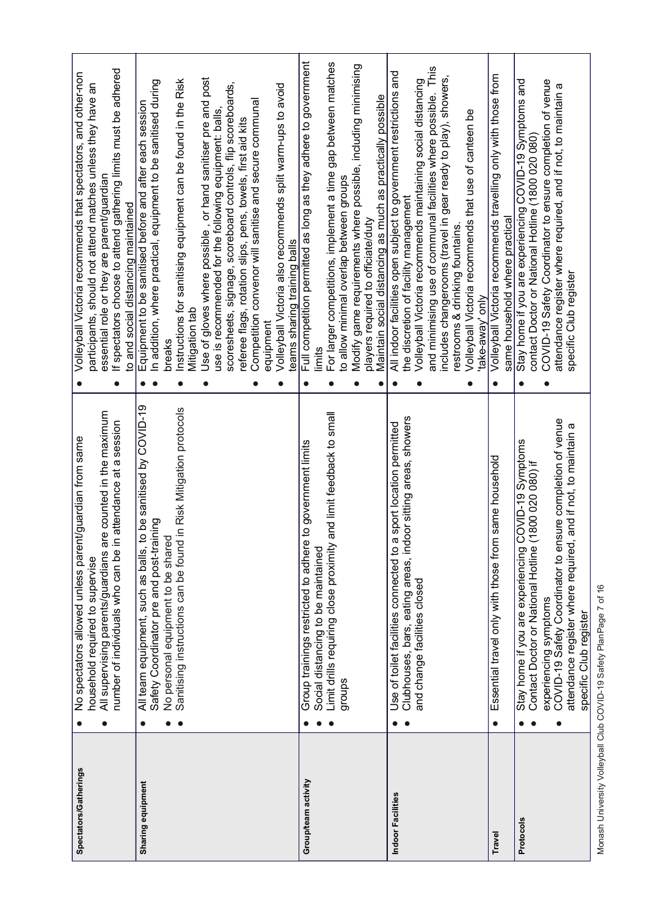| Spectators/Gatherings | e counted in the maximum<br>attendance at a session<br>No spectators allowed unless parent/guardian from same<br>All supervising parents/guardians ar<br>number of individuals who can be in<br>household required to supervise                                                                                   | If spectators choose to attend gathering limits must be adhered<br>Volleyball Victoria recommends that spectators, and other-non<br>participants, should not attend matches unless they have an<br>essential role or they are parent/guardian<br>to and social distancing maintained<br>$\bullet$                                                                                                                                                                                                                                                                                                                                                                   |
|-----------------------|-------------------------------------------------------------------------------------------------------------------------------------------------------------------------------------------------------------------------------------------------------------------------------------------------------------------|---------------------------------------------------------------------------------------------------------------------------------------------------------------------------------------------------------------------------------------------------------------------------------------------------------------------------------------------------------------------------------------------------------------------------------------------------------------------------------------------------------------------------------------------------------------------------------------------------------------------------------------------------------------------|
| Sharing equipment     | All team equipment, such as balls, to be sanitised by COVID-19<br>Sanitising instructions can be found in Risk Mitigation protocols<br>Safety Coordinator pre and post-training<br>No personal equipment to be shared<br>$\bullet$                                                                                | Use of gloves where possible, or hand sanitiser pre and post<br>Instructions for sanitising equipment can be found in the Risk<br>In addition, where practical, equipment to be sanitised during<br>scoresheets, signage, scoreboard controls, flip scoreboards,<br>Volleyball Victoria also recommends split warm-ups to avoid<br>Competition convenor will sanitise and secure communal<br>Equipment to be sanitised before and after each session<br>use is recommended for the following equipment: balls,<br>referee flags, rotation slips, pens, towels, first aid kits<br>teams sharing training balls<br>Mitigation tab<br>equipment<br>breaks<br>$\bullet$ |
| Group/team activity   | and limit feedback to small<br>to government limits<br>Group trainings restricted to adhere<br>Limit drills requiring close proximity<br>Social distancing to be maintained<br>groups                                                                                                                             | Full competition permitted as long as they adhere to government<br>For larger competitions, implement a time gap between matches<br>Modify game requirements where possible, including minimising<br>Maintain social distancing as much as practically possible<br>to allow minimal overlap between groups<br>players required to officiate/duty<br>limits                                                                                                                                                                                                                                                                                                          |
| Indoor Facilities     | Clubhouses, bars, eating areas, indoor sitting areas, showers<br>Use of toilet facilities connected to a sport location permitted<br>and change facilities closed                                                                                                                                                 | and minimising use of communal facilities where possible. This<br>All indoor facilities open subject to government restrictions and<br>includes changerooms (travel in gear ready to play), showers,<br>Volleyball Victoria recommends maintaining social distancing<br>Volleyball Victoria recommends that use of canteen be<br>the discretion of facility management<br>restrooms & drinking fountains<br>"take-away' only<br>$\bullet$                                                                                                                                                                                                                           |
| Travel                | same household<br>Essential travel only with those from<br>$\bullet$                                                                                                                                                                                                                                              | Volleyball Victoria recommends travelling only with those from<br>same household where practical<br>$\bullet$                                                                                                                                                                                                                                                                                                                                                                                                                                                                                                                                                       |
| Protocols             | experiencing symptoms<br>COVID-19 Safety Coordinator to ensure completion of venue<br>and if not, to maintain a<br>20VID-19 Symptoms<br>1800 020 080) if<br>attendance register where required,<br>Contact Doctor or National Hotline<br>Stay home if you are experiencing<br>specific Club register<br>$\bullet$ | Stay home if you are experiencing COVID-19 Symptoms and<br>COVID-19 Safety Coordinator to ensure completion of venue<br>attendance register where required, and if not, to maintain a<br>contact Doctor or National Hotline (1800 020 080)<br>specific Club register<br>$\bullet$                                                                                                                                                                                                                                                                                                                                                                                   |
|                       |                                                                                                                                                                                                                                                                                                                   |                                                                                                                                                                                                                                                                                                                                                                                                                                                                                                                                                                                                                                                                     |

Monash University Volleyball Club COVID-19 Safety PlanPage 7 of 16 Monash University Volleyball Club COVID-19 Safety PlanPage 7 of 16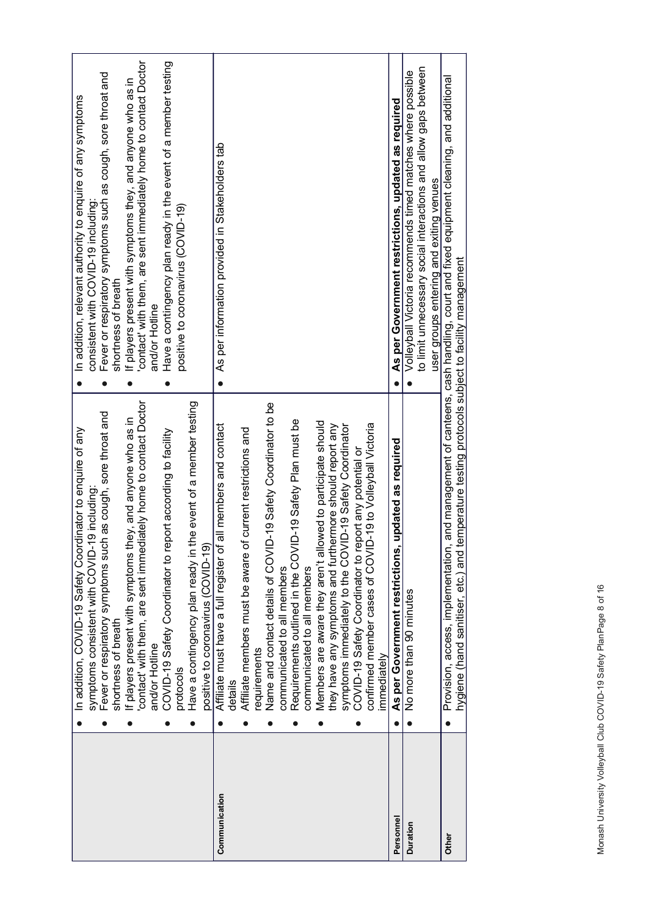|               | In addition, COVID-19 Safety Coordinator to enquire of any                                                                                         | In addition, relevant authority to enquire of any symptoms                                    |
|---------------|----------------------------------------------------------------------------------------------------------------------------------------------------|-----------------------------------------------------------------------------------------------|
|               | 9 including:<br>symptoms consistent with COVID-1                                                                                                   | consistent with COVID-19 including                                                            |
|               | Fever or respiratory symptoms such as cough, sore throat and                                                                                       | Fever or respiratory symptoms such as cough, sore throat and                                  |
|               | shortness of breath                                                                                                                                | shortness of breath                                                                           |
|               | ey, and anyone who as in<br>If players present with symptoms th                                                                                    | If players present with symptoms they, and anyone who as in                                   |
|               | contact' with them, are sent immediately home to contact Doctor                                                                                    | contact' with them, are sent immediately home to contact Doctor                               |
|               | and/or Hotline                                                                                                                                     | and/or Hotline                                                                                |
|               | COVID-19 Safety Coordinator to report according to facility                                                                                        | Have a contingency plan ready in the event of a member testing                                |
|               | protocols                                                                                                                                          | positive to coronavirus (COVID-19)                                                            |
|               | Have a contingency plan ready in the event of a member testing                                                                                     |                                                                                               |
|               | positive to coronavirus (COVID-19)                                                                                                                 |                                                                                               |
| Communication | all members and contact<br>Affiliate must have a full register of                                                                                  | As per information provided in Stakeholders tab                                               |
|               | details                                                                                                                                            |                                                                                               |
|               | current restrictions and<br>Affiliate members must be aware of                                                                                     |                                                                                               |
|               | requirements                                                                                                                                       |                                                                                               |
|               | 1-19 Safety Coordinator to be<br>Name and contact details of COVID                                                                                 |                                                                                               |
|               | communicated to all members                                                                                                                        |                                                                                               |
|               | Requirements outlined in the COVID-19 Safety Plan must be                                                                                          |                                                                                               |
|               | communicated to all members                                                                                                                        |                                                                                               |
|               | Members are aware they aren't allowed to participate should                                                                                        |                                                                                               |
|               | they have any symptoms and furthermore should report any                                                                                           |                                                                                               |
|               | symptoms immediately to the COVID-19 Safety Coordinator                                                                                            |                                                                                               |
|               | COVID-19 Safety Coordinator to report any potential or                                                                                             |                                                                                               |
|               | 19 to Volleyball Victoria<br>confirmed member cases of COVID<br>mmediately                                                                         |                                                                                               |
|               |                                                                                                                                                    |                                                                                               |
| Personnel     | updated as required<br>As per Government restrictions,                                                                                             | As per Government restrictions, updated as required                                           |
| Duration      | No more than 90 minutes                                                                                                                            | Volleyball Victoria recommends timed matches where possible                                   |
|               |                                                                                                                                                    | to limit unnecessary social interactions and allow gaps between                               |
|               |                                                                                                                                                    | user groups entering and exiting venues                                                       |
| Other         | hygiene (hand sanitiser, etc.) and temperature testing protocols subject to facility management<br>Provision, access, implementation,<br>$\bullet$ | and management of canteens, cash handling, court and fixed equipment cleaning, and additional |
|               |                                                                                                                                                    |                                                                                               |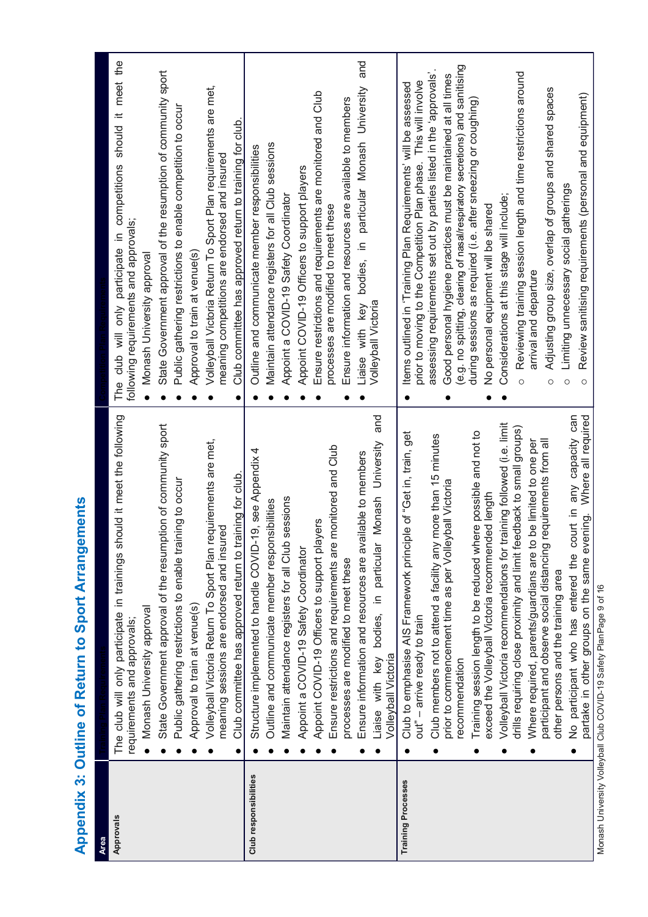<span id="page-8-0"></span>

| <b>Area</b>               |                                                                                                             |                                                                                                                                                |
|---------------------------|-------------------------------------------------------------------------------------------------------------|------------------------------------------------------------------------------------------------------------------------------------------------|
| Approvals                 | The club will only participate in trainings should it meet the following<br>requirements and approvals;     | The club will only participate in competitions should it meet the<br>following requirements and approvals;                                     |
|                           | Monash University approval                                                                                  | Monash University approva                                                                                                                      |
|                           | State Government approval of the resumption of community sport                                              | State Government approval of the resumption of community sport                                                                                 |
|                           | Public gathering restrictions to enable training to occur                                                   | Public gathering restrictions to enable competition to occur                                                                                   |
|                           | Approval to train at venue(s)                                                                               | Approval to train at venue(s)                                                                                                                  |
|                           | Volleyball Victoria Return To Sport Plan requirements are met,<br>meaning sessions are endorsed and insured | Volleyball Victoria Return To Sport Plan requirements are met,<br>meaning competitions are endorsed and insured                                |
|                           | Club committee has approved return to training for club                                                     | Club committee has approved return to training for club.                                                                                       |
| Club responsibilities     | Structure implemented to handle COVID-19, see Appendix 4                                                    | Outline and communicate member responsibilities                                                                                                |
|                           | Outline and communicate member responsibilities                                                             | Maintain attendance registers for all Club sessions                                                                                            |
|                           | Maintain attendance registers for all Club sessions                                                         | Appoint a COVID-19 Safety Coordinator                                                                                                          |
|                           | Appoint a COVID-19 Safety Coordinator                                                                       | Appoint COVID-19 Officers to support players                                                                                                   |
|                           | Appoint COVID-19 Officers to support players                                                                | Ensure restrictions and requirements are monitored and Club                                                                                    |
|                           | Ensure restrictions and requirements are monitored and Club                                                 | processes are modified to meet these                                                                                                           |
|                           | processes are modified to meet these                                                                        | Ensure information and resources are available to members                                                                                      |
|                           | ailable to members<br>Ensure information and resources are av                                               | and<br>Liaise with key bodies, in particular Monash University                                                                                 |
|                           | University and<br>Monash<br>Liaise with key bodies, in particular<br><b>Volleyball Victoria</b>             | Volleyball Victoria                                                                                                                            |
| <b>Training Processes</b> | Club to emphasise AIS Framework principle of "Get in, train, get<br>out" - arrive ready to train            | prior to moving to the Competition Plan phase. This will involve<br>Items outlined in 'Training Plan Requirements' will be assessed            |
|                           | Club members not to attend a facility any more than 15 minutes                                              | assessing requirements set out by parties listed in the 'approvals'                                                                            |
|                           | prior to commencement time as per Volleyball Victoria<br>recommendation                                     | (e.g. no spitting, clearing of nasal/respiratory secretions) and sanitising<br>Good personal hygiene practices must be maintained at all times |
|                           | Training session length to be reduced where possible and not to                                             | during sessions as required (i.e. after sneezing or coughing)                                                                                  |
|                           | exceed the Volleyball Victoria recommended length                                                           | No personal equipment will be shared                                                                                                           |
|                           | Volleyball Victoria recommendations for training followed (i.e. limit                                       | Considerations at this stage will include;                                                                                                     |
|                           | drills requiring close proximity and limit feedback to small groups)                                        | Reviewing training session length and time restrictions around<br>$\circ$                                                                      |
|                           | Where required, parents/guardians are to be limited to one per                                              | arrival and departure                                                                                                                          |
|                           | participant and observe social distancing requirements from all<br>other persons and the training area      | Adjusting group size, overlap of groups and shared spaces<br>O                                                                                 |
|                           | court in any capacity can<br>No participant who has entered the                                             | Limiting unnecessary social gatherings<br>$\circ$                                                                                              |
|                           | partake in other groups on the same evening. Where all required                                             | Review sanitising requirements (personal and equipment)<br>$\circ$                                                                             |

Appendix 3: Outline of Return to Sport Arrangements **Appendix 3: Outline of Return to Sport Arrangements**

Wonash University Volleyball Club COVID-19 Safety PlanPage 9 of 16 Monash University Volleyball Club COVID-19 Safety PlanPage 9 of 16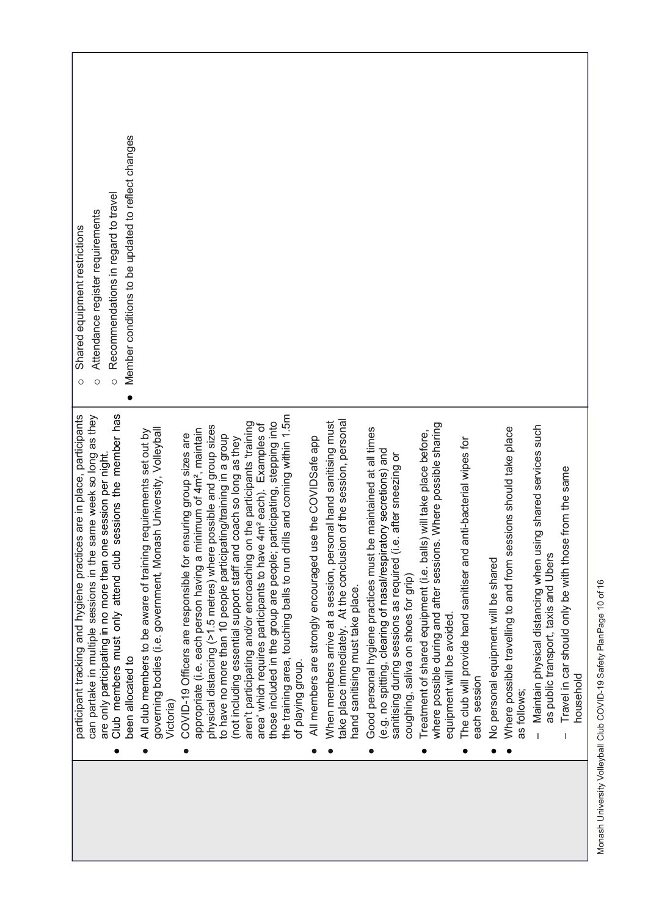| participant tracking and hygiene practices are in place, participants                                                                                                                                       | Shared equipment restrictions<br>$\circ$           |
|-------------------------------------------------------------------------------------------------------------------------------------------------------------------------------------------------------------|----------------------------------------------------|
| can partake in multiple sessions in the same week so long as they                                                                                                                                           | Attendance register requirements<br>$\circ$        |
| are only participating in no more than one session per night.                                                                                                                                               | Recommendations in regard to travel<br>$\circ$     |
| Club members must only attend club sessions the member has<br>been allocated to<br>$\bullet$                                                                                                                | Member conditions to be updated to reflect changes |
| governing bodies (i.e. government, Monash University, Volleyball<br>All club members to be aware of training requirements set out by<br>Victoria)<br>$\bullet$                                              |                                                    |
| COVID-19 Officers are responsible for ensuring group sizes are<br>$\bullet$                                                                                                                                 |                                                    |
| physical distancing (>1.5 metres) where possible and group sizes<br>appropriate (i.e. each person having a minimum of 4m <sup>2</sup> , maintain                                                            |                                                    |
| to have no more than 10 people participating/training in a group                                                                                                                                            |                                                    |
| (not including essential support staff and coach so long as they                                                                                                                                            |                                                    |
| aren't participating and/or encroaching on the participants 'training<br>area' which requires participants to have 4m <sup>2</sup> each). Examples of                                                       |                                                    |
| s and coming within 1.5m<br>those included in the group are people; participating, stepping into<br>the training area, touching balls to run drill                                                          |                                                    |
| of playing group.                                                                                                                                                                                           |                                                    |
| All members are strongly encouraged use the COVIDSafe app                                                                                                                                                   |                                                    |
| take place immediately. At the conclusion of the session, personal<br>When members arrive at a session, personal hand sanitising must                                                                       |                                                    |
| hand sanitising must take place.                                                                                                                                                                            |                                                    |
| maintained at all times<br>(e.g. no spitting, clearing of nasal/respiratory secretions) and<br>after sneezing or<br>Good personal hygiene practices must be<br>sanitising during sessions as required (i.e. |                                                    |
| coughing, saliva on shoes for grip)                                                                                                                                                                         |                                                    |
| Where possible sharing<br>will take place before,<br>Treatment of shared equipment (i.e. balls)<br>where possible during and after sessions.<br>equipment will be avoided.<br>$\bullet$                     |                                                    |
| The club will provide hand sanitiser and anti-bacterial wipes for<br>each session<br>$\bullet$                                                                                                              |                                                    |
| No personal equipment will be shared                                                                                                                                                                        |                                                    |
| Where possible travelling to and from sessions should take place<br>as follows:                                                                                                                             |                                                    |
| ig shared services such<br>Maintain physical distancing when usin<br>as public transport, taxis and Ubers                                                                                                   |                                                    |
| from the same<br>Travel in car should only be with those<br>household                                                                                                                                       |                                                    |
|                                                                                                                                                                                                             |                                                    |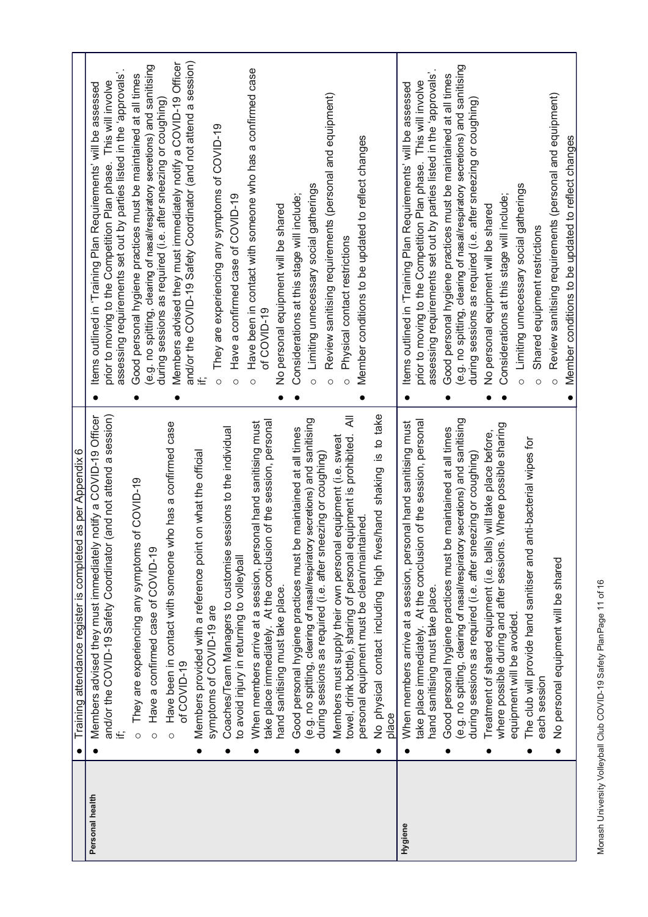|                 | $\bullet$ | Training attendance register is completed as per Appendix 6                                                                                                                                                     |                                                                                                                                                                                                                 |
|-----------------|-----------|-----------------------------------------------------------------------------------------------------------------------------------------------------------------------------------------------------------------|-----------------------------------------------------------------------------------------------------------------------------------------------------------------------------------------------------------------|
| Personal health |           | notify a COVID-19 Officer<br>(and not attend a session)<br>Members advised they must immediately<br>and/or the COVID-19 Safety Coordinator                                                                      | assessing requirements set out by parties listed in the 'approvals'<br>prior to moving to the Competition Plan phase. This will involve<br>Items outlined in 'Training Plan Requirements' will be assessed      |
|                 | Ō<br>Ō    | of COVID-19<br>They are experiencing any symptoms<br>Have a confirmed case of COVID-19                                                                                                                          | (e.g. no spitting, clearing of nasal/respiratory secretions) and sanitising<br>Good personal hygiene practices must be maintained at all times                                                                  |
|                 | Ō         | Have been in contact with someone who has a confirmed case<br>of COVID-19                                                                                                                                       | and/or the COVID-19 Safety Coordinator (and not attend a session)<br>Members advised they must immediately notify a COVID-19 Officer<br>during sessions as required (i.e. after sneezing or coughing)           |
|                 |           | on what the official<br>Members provided with a reference point<br>symptoms of COVID-19 are                                                                                                                     | They are experiencing any symptoms of COVID-19<br>$\circ$                                                                                                                                                       |
|                 |           | essions to the individual<br>Coaches/Team Managers to customise s<br>o avoid injury in returning to volleyball                                                                                                  | Have a confirmed case of COVID-19<br>$\circ$                                                                                                                                                                    |
|                 |           | take place immediately. At the conclusion of the session, personal<br>When members arrive at a session, personal hand sanitising must<br>hand sanitising must take place.                                       | Have been in contact with someone who has a confirmed case<br>No personal equipment will be shared<br>of COVID-19<br>$\circ$                                                                                    |
|                 |           | e.g. no spitting, clearing of nasal/respiratory secretions) and sanitising<br>Good personal hygiene practices must be maintained at all times<br>during sessions as required (i.e. after sneezing or coughing)  | Limiting unnecessary social gatherings<br>Considerations at this stage will include;<br>$\circ$                                                                                                                 |
|                 |           | ₹<br>towel, drink bottle), sharing of personal equipment is prohibited.<br>equipment (i.e. sweat<br>personal equipment must be clean/maintained<br>Members must supply their own personal                       | Review sanitising requirements (personal and equipment)<br>Member conditions to be updated to reflect changes<br>Physical contact restrictions<br>$\circ$<br>$\circ$                                            |
|                 | place     | to take<br>$\frac{\omega}{2}$<br>No physical contact including high fives/hand shaking                                                                                                                          |                                                                                                                                                                                                                 |
| Hygiene         |           | take place immediately. At the conclusion of the session, personal<br>When members arrive at a session, personal hand sanitising must<br>hand sanitising must take place.                                       | assessing requirements set out by parties listed in the 'approvals'<br>prior to moving to the Competition Plan phase. This will involve<br>Items outlined in 'Training Plan Requirements' will be assessed      |
|                 |           | (e.g. no spitting, clearing of nasal/respiratory secretions) and sanitising<br>Good personal hygiene practices must be maintained at all times<br>during sessions as required (i.e. after sneezing or coughing) | (e.g. no spitting, clearing of nasal/respiratory secretions) and sanitising<br>Good personal hygiene practices must be maintained at all times<br>during sessions as required (i.e. after sneezing or coughing) |
|                 |           | where possible during and after sessions. Where possible sharing<br>Treatment of shared equipment (i.e. balls) will take place before,<br>equipment will be avoided.                                            | Considerations at this stage will include;<br>No personal equipment will be shared                                                                                                                              |
|                 |           | The club will provide hand sanitiser and anti-bacterial wipes for<br>each session                                                                                                                               | Limiting unnecessary social gatherings<br>Shared equipment restrictions<br>$\circ$<br>Ō                                                                                                                         |
|                 |           | No personal equipment will be shared                                                                                                                                                                            | Review sanitising requirements (personal and equipment)<br>Member conditions to be updated to reflect changes<br>$\circ$                                                                                        |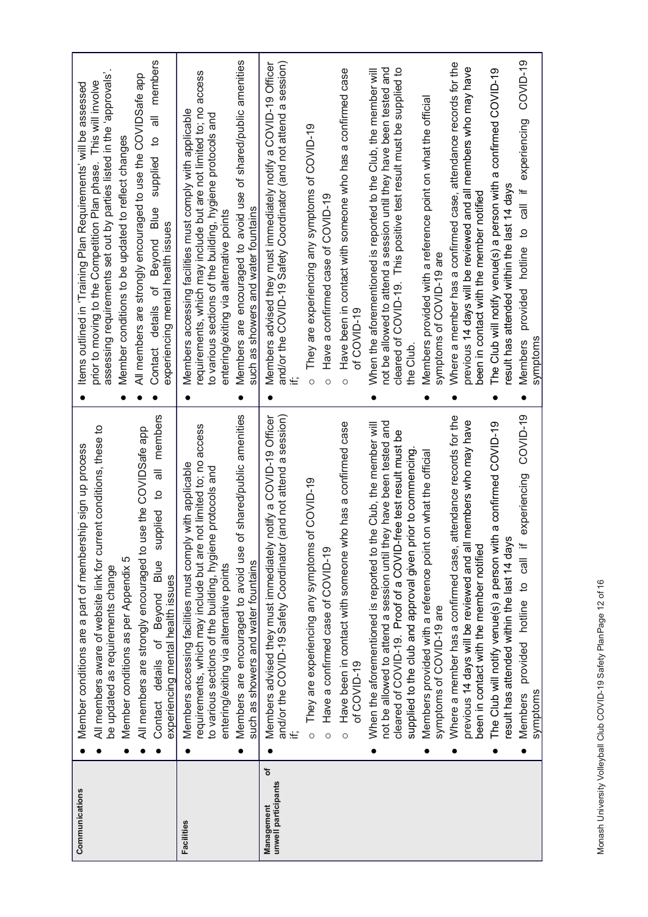| Communications                         | All members aware of website link for current conditions, these to<br>Member conditions are a part of membership sign up process<br>be updated as requirements change                                                                          | assessing requirements set out by parties listed in the 'approvals'<br>prior to moving to the Competition Plan phase. This will involve<br>Items outlined in 'Training Plan Requirements' will be assessed                             |
|----------------------------------------|------------------------------------------------------------------------------------------------------------------------------------------------------------------------------------------------------------------------------------------------|----------------------------------------------------------------------------------------------------------------------------------------------------------------------------------------------------------------------------------------|
|                                        | Member conditions as per Appendix 5                                                                                                                                                                                                            | Member conditions to be updated to reflect changes                                                                                                                                                                                     |
|                                        | use the COVIDSafe app<br>All members are strongly encouraged to                                                                                                                                                                                | All members are strongly encouraged to use the COVIDSafe app                                                                                                                                                                           |
|                                        | members<br>$\overline{a}$<br>$\overline{5}$<br>supplied<br>Blue<br>experiencing mental health issues<br>Beyond<br>details of<br>Contact                                                                                                        | members<br>$\equiv$<br>$\mathbf{a}$<br>supplied<br>Contact details of Beyond Blue<br>experiencing mental health issues                                                                                                                 |
| <b>Facilities</b>                      | requirements, which may include but are not limited to; no access<br>y with applicable<br>e protocols and<br>to various sections of the building, hygien<br>Members accessing facilities must compl<br>entering/exiting via alternative points | requirements, which may include but are not limited to; no access<br>Members accessing facilities must comply with applicable<br>to various sections of the building, hygiene protocols and<br>entering/exiting via alternative points |
|                                        | of shared/public amenities<br>Members are encouraged to avoid use<br>such as showers and water fountains                                                                                                                                       | Members are encouraged to avoid use of shared/public amenities<br>such as showers and water fountains                                                                                                                                  |
| ৳<br>Management<br>unwell participants | notify a COVID-19 Officer<br>(and not attend a session)<br>Members advised they must immediately<br>and/or the COVID-19 Safety Coordinator                                                                                                     | and/or the COVID-19 Safety Coordinator (and not attend a session)<br>Members advised they must immediately notify a COVID-19 Officer<br>≝                                                                                              |
|                                        | of COVID-19<br>They are experiencing any symptoms<br>O                                                                                                                                                                                         | They are experiencing any symptoms of COVID-19<br>O                                                                                                                                                                                    |
|                                        | Have a confirmed case of COVID-19<br>$\circ$                                                                                                                                                                                                   | Have a confirmed case of COVID-19<br>$\circ$                                                                                                                                                                                           |
|                                        | Have been in contact with someone who has a confirmed case<br>of COVID-19<br>$\circ$                                                                                                                                                           | Have been in contact with someone who has a confirmed case<br>of COVID-19<br>O                                                                                                                                                         |
|                                        | not be allowed to attend a session until they have been tested and<br>When the aforementioned is reported to the Club, the member will<br>cleared of COVID-19. Proof of a COVID-free test result must be                                       | not be allowed to attend a session until they have been tested and<br>cleared of COVID-19. This positive test result must be supplied to<br>When the aforementioned is reported to the Club, the member will                           |
|                                        | supplied to the club and approval given prior to commencing                                                                                                                                                                                    | the Club                                                                                                                                                                                                                               |
|                                        | on what the official<br>Members provided with a reference point<br>symptoms of COVID-19 are                                                                                                                                                    | Members provided with a reference point on what the official<br>symptoms of COVID-19 are                                                                                                                                               |
|                                        | attendance records for the<br>members who may have<br>previous 14 days will be reviewed and all<br>been in contact with the member notified<br>Where a member has a confirmed case,                                                            | Where a member has a confirmed case, attendance records for the<br>previous 14 days will be reviewed and all members who may have<br>been in contact with the member notified                                                          |
|                                        | The Club will notify venue(s) a person with a confirmed COVID-19<br>result has attended within the last 14 days                                                                                                                                | The Club will notify venue(s) a person with a confirmed COVID-19<br>result has attended within the last 14 days                                                                                                                        |
|                                        | COVID-19<br>experiencing<br>provided hotline to call if<br><b>Members</b><br>symptoms                                                                                                                                                          | COVID-19<br>experiencing<br>$\frac{11}{16}$<br>$\overline{5}$<br>provided hotline<br>symptoms<br>Members                                                                                                                               |
|                                        |                                                                                                                                                                                                                                                |                                                                                                                                                                                                                                        |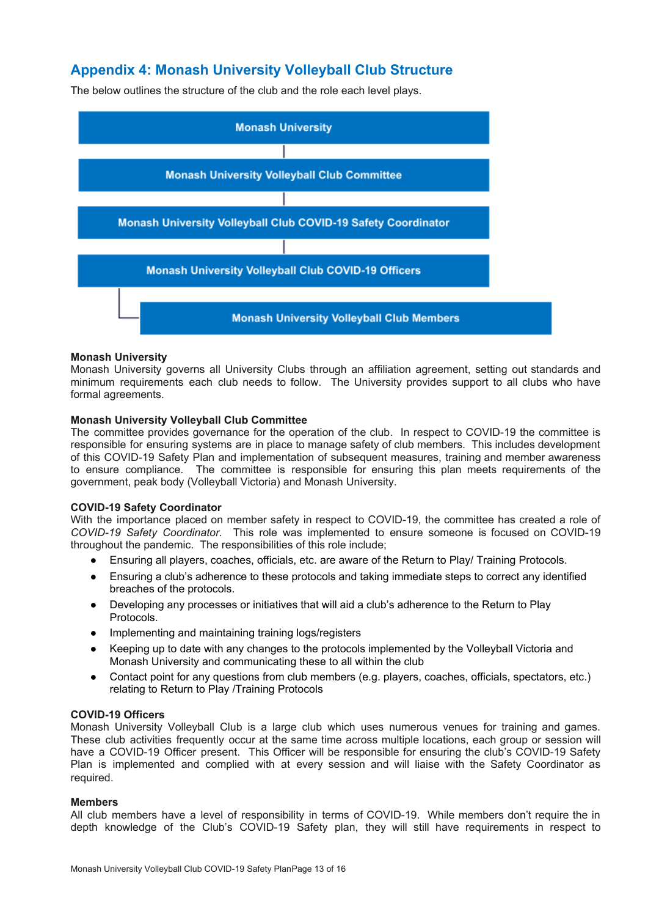## <span id="page-12-0"></span>**Appendix 4: Monash University Volleyball Club Structure**

The below outlines the structure of the club and the role each level plays.



#### **Monash University**

Monash University governs all University Clubs through an affiliation agreement, setting out standards and minimum requirements each club needs to follow. The University provides support to all clubs who have formal agreements.

#### **Monash University Volleyball Club Committee**

The committee provides governance for the operation of the club. In respect to COVID-19 the committee is responsible for ensuring systems are in place to manage safety of club members. This includes development of this COVID-19 Safety Plan and implementation of subsequent measures, training and member awareness to ensure compliance. The committee is responsible for ensuring this plan meets requirements of the government, peak body (Volleyball Victoria) and Monash University.

#### **COVID-19 Safety Coordinator**

With the importance placed on member safety in respect to COVID-19, the committee has created a role of *COVID-19 Safety Coordinator.* This role was implemented to ensure someone is focused on COVID-19 throughout the pandemic. The responsibilities of this role include;

- Ensuring all players, coaches, officials, etc. are aware of the Return to Play/ Training Protocols.
- Ensuring a club's adherence to these protocols and taking immediate steps to correct any identified breaches of the protocols.
- Developing any processes or initiatives that will aid a club's adherence to the Return to Play Protocols.
- Implementing and maintaining training logs/registers
- Keeping up to date with any changes to the protocols implemented by the Volleyball Victoria and Monash University and communicating these to all within the club
- Contact point for any questions from club members (e.g. players, coaches, officials, spectators, etc.) relating to Return to Play /Training Protocols

#### **COVID-19 Officers**

Monash University Volleyball Club is a large club which uses numerous venues for training and games. These club activities frequently occur at the same time across multiple locations, each group or session will have a COVID-19 Officer present. This Officer will be responsible for ensuring the club's COVID-19 Safety Plan is implemented and complied with at every session and will liaise with the Safety Coordinator as required.

#### **Members**

All club members have a level of responsibility in terms of COVID-19. While members don't require the in depth knowledge of the Club's COVID-19 Safety plan, they will still have requirements in respect to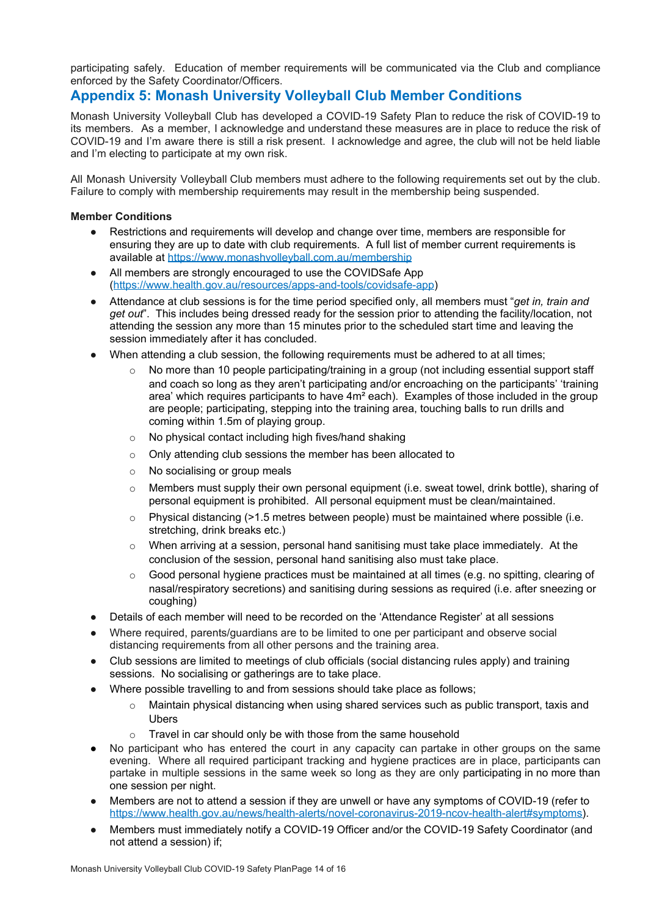participating safely. Education of member requirements will be communicated via the Club and compliance enforced by the Safety Coordinator/Officers.

## <span id="page-13-0"></span>**Appendix 5: Monash University Volleyball Club Member Conditions**

Monash University Volleyball Club has developed a COVID-19 Safety Plan to reduce the risk of COVID-19 to its members. As a member, I acknowledge and understand these measures are in place to reduce the risk of COVID-19 and I'm aware there is still a risk present. I acknowledge and agree, the club will not be held liable and I'm electing to participate at my own risk.

All Monash University Volleyball Club members must adhere to the following requirements set out by the club. Failure to comply with membership requirements may result in the membership being suspended.

#### **Member Conditions**

- Restrictions and requirements will develop and change over time, members are responsible for ensuring they are up to date with club requirements. A full list of member current requirements is available at <https://www.monashvolleyball.com.au/membership>
- All members are strongly encouraged to use the COVIDSafe App [\(https://www.health.gov.au/resources/apps-and-tools/covidsafe-app](https://www.health.gov.au/resources/apps-and-tools/covidsafe-app))
- Attendance at club sessions is for the time period specified only, all members must "*get in, train and get out*". This includes being dressed ready for the session prior to attending the facility/location, not attending the session any more than 15 minutes prior to the scheduled start time and leaving the session immediately after it has concluded.
- When attending a club session, the following requirements must be adhered to at all times;
	- $\circ$  No more than 10 people participating/training in a group (not including essential support staff and coach so long as they aren't participating and/or encroaching on the participants' 'training area' which requires participants to have 4m<sup>2</sup> each). Examples of those included in the group are people; participating, stepping into the training area, touching balls to run drills and coming within 1.5m of playing group.
	- o No physical contact including high fives/hand shaking
	- o Only attending club sessions the member has been allocated to
	- o No socialising or group meals
	- $\circ$  Members must supply their own personal equipment (i.e. sweat towel, drink bottle), sharing of personal equipment is prohibited. All personal equipment must be clean/maintained.
	- $\circ$  Physical distancing (>1.5 metres between people) must be maintained where possible (i.e. stretching, drink breaks etc.)
	- o When arriving at a session, personal hand sanitising must take place immediately. At the conclusion of the session, personal hand sanitising also must take place.
	- $\circ$  Good personal hygiene practices must be maintained at all times (e.g. no spitting, clearing of nasal/respiratory secretions) and sanitising during sessions as required (i.e. after sneezing or coughing)
- Details of each member will need to be recorded on the 'Attendance Register' at all sessions
- Where required, parents/guardians are to be limited to one per participant and observe social distancing requirements from all other persons and the training area.
- Club sessions are limited to meetings of club officials (social distancing rules apply) and training sessions. No socialising or gatherings are to take place.
- Where possible travelling to and from sessions should take place as follows;
	- o Maintain physical distancing when using shared services such as public transport, taxis and Ubers
	- $\circ$  Travel in car should only be with those from the same household
- No participant who has entered the court in any capacity can partake in other groups on the same evening. Where all required participant tracking and hygiene practices are in place, participants can partake in multiple sessions in the same week so long as they are only participating in no more than one session per night.
- Members are not to attend a session if they are unwell or have any symptoms of COVID-19 (refer to [https://www.health.gov.au/news/health-alerts/novel-coronavirus-2019-ncov-health-alert#symptoms\)](https://www.health.gov.au/news/health-alerts/novel-coronavirus-2019-ncov-health-alert#symptoms).
- Members must immediately notify a COVID-19 Officer and/or the COVID-19 Safety Coordinator (and not attend a session) if;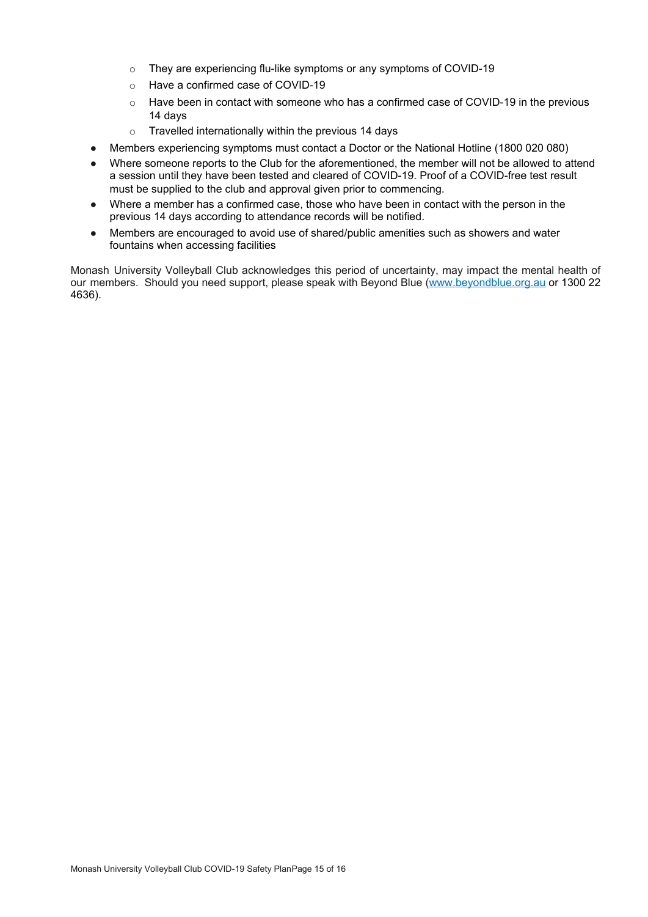- o They are experiencing flu-like symptoms or any symptoms of COVID-19
- o Have a confirmed case of COVID-19
- o Have been in contact with someone who has a confirmed case of COVID-19 in the previous 14 days
- $\circ$  Travelled internationally within the previous 14 days
- Members experiencing symptoms must contact a Doctor or the National Hotline (1800 020 080)
- Where someone reports to the Club for the aforementioned, the member will not be allowed to attend a session until they have been tested and cleared of COVID-19. Proof of a COVID-free test result must be supplied to the club and approval given prior to commencing.
- Where a member has a confirmed case, those who have been in contact with the person in the previous 14 days according to attendance records will be notified.
- Members are encouraged to avoid use of shared/public amenities such as showers and water fountains when accessing facilities

Monash University Volleyball Club acknowledges this period of uncertainty, may impact the mental health of our members. Should you need support, please speak with Beyond Blue ([www.beyondblue.org.au](http://www.beyondblue.org.au/) or 1300 22 4636).